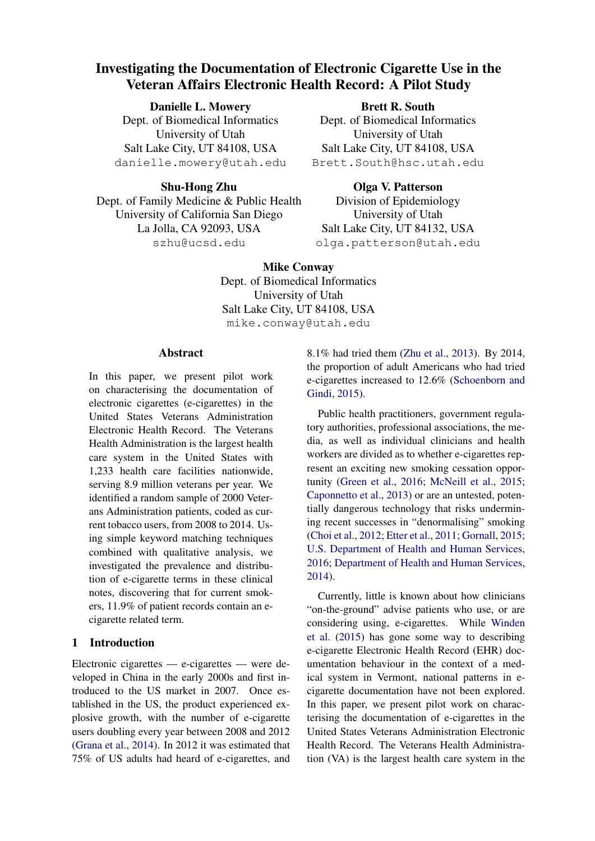# Investigating the Documentation of Electronic Cigarette Use in the Veteran Affairs Electronic Health Record: A Pilot Study

## Danielle L. Mowery

Dept. of Biomedical Informatics University of Utah Salt Lake City, UT 84108, USA danielle.mowery@utah.edu

## University of Utah Salt Lake City, UT 84108, USA Brett.South@hsc.utah.edu

Shu-Hong Zhu Dept. of Family Medicine & Public Health University of California San Diego La Jolla, CA 92093, USA szhu@ucsd.edu

## Olga V. Patterson

Brett R. South Dept. of Biomedical Informatics

Division of Epidemiology University of Utah Salt Lake City, UT 84132, USA olga.patterson@utah.edu

Mike Conway Dept. of Biomedical Informatics University of Utah Salt Lake City, UT 84108, USA mike.conway@utah.edu

### Abstract

In this paper, we present pilot work on characterising the documentation of electronic cigarettes (e-cigarettes) in the United States Veterans Administration Electronic Health Record. The Veterans Health Administration is the largest health care system in the United States with 1,233 health care facilities nationwide, serving 8.9 million veterans per year. We identified a random sample of 2000 Veterans Administration patients, coded as current tobacco users, from 2008 to 2014. Using simple keyword matching techniques combined with qualitative analysis, we investigated the prevalence and distribution of e-cigarette terms in these clinical notes, discovering that for current smokers, 11.9% of patient records contain an ecigarette related term.

## 1 Introduction

Electronic cigarettes — e-cigarettes — were developed in China in the early 2000s and first introduced to the US market in 2007. Once established in the US, the product experienced explosive growth, with the number of e-cigarette users doubling every year between 2008 and 2012 [\(Grana et al.,](#page-4-0) [2014\)](#page-4-0). In 2012 it was estimated that 75% of US adults had heard of e-cigarettes, and 8.1% had tried them [\(Zhu et al.,](#page-4-1) [2013\)](#page-4-1). By 2014, the proportion of adult Americans who had tried e-cigarettes increased to 12.6% [\(Schoenborn and](#page-4-2) [Gindi,](#page-4-2) [2015\)](#page-4-2).

Public health practitioners, government regulatory authorities, professional associations, the media, as well as individual clinicians and health workers are divided as to whether e-cigarettes represent an exciting new smoking cessation opportunity [\(Green et al.,](#page-4-3) [2016;](#page-4-3) [McNeill et al.,](#page-4-4) [2015;](#page-4-4) [Caponnetto et al.,](#page-3-0) [2013\)](#page-3-0) or are an untested, potentially dangerous technology that risks undermining recent successes in "denormalising" smoking [\(Choi et al.,](#page-4-5) [2012;](#page-4-5) [Etter et al.,](#page-4-6) [2011;](#page-4-6) [Gornall,](#page-4-7) [2015;](#page-4-7) [U.S. Department of Health and Human Services,](#page-4-8) [2016;](#page-4-8) [Department of Health and Human Services,](#page-4-9) [2014\)](#page-4-9).

Currently, little is known about how clinicians "on-the-ground" advise patients who use, or are considering using, e-cigarettes. While [Winden](#page-4-10) [et al.](#page-4-10) [\(2015\)](#page-4-10) has gone some way to describing e-cigarette Electronic Health Record (EHR) documentation behaviour in the context of a medical system in Vermont, national patterns in ecigarette documentation have not been explored. In this paper, we present pilot work on characterising the documentation of e-cigarettes in the United States Veterans Administration Electronic Health Record. The Veterans Health Administration (VA) is the largest health care system in the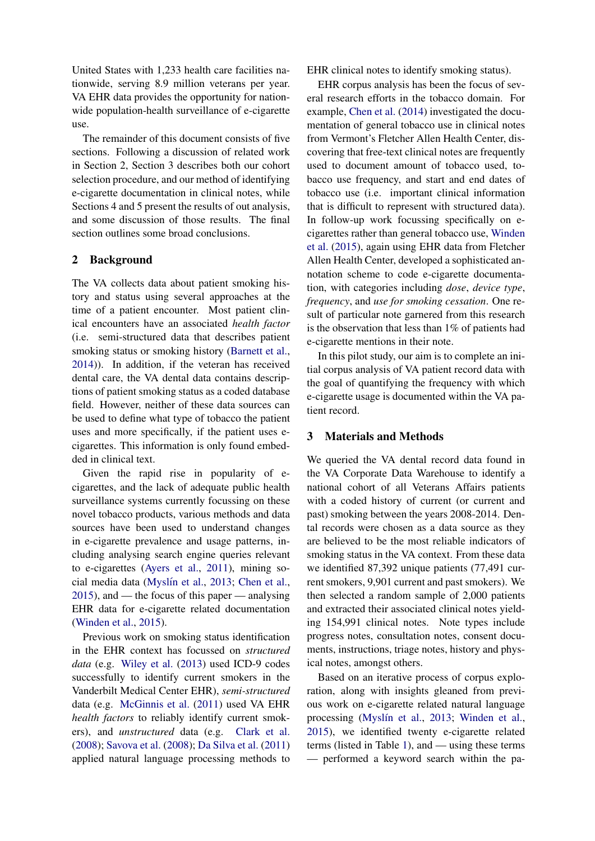United States with 1,233 health care facilities nationwide, serving 8.9 million veterans per year. VA EHR data provides the opportunity for nationwide population-health surveillance of e-cigarette use.

The remainder of this document consists of five sections. Following a discussion of related work in Section 2, Section 3 describes both our cohort selection procedure, and our method of identifying e-cigarette documentation in clinical notes, while Sections 4 and 5 present the results of out analysis, and some discussion of those results. The final section outlines some broad conclusions.

### 2 Background

The VA collects data about patient smoking history and status using several approaches at the time of a patient encounter. Most patient clinical encounters have an associated *health factor* (i.e. semi-structured data that describes patient smoking status or smoking history [\(Barnett et al.,](#page-3-1) [2014\)](#page-3-1)). In addition, if the veteran has received dental care, the VA dental data contains descriptions of patient smoking status as a coded database field. However, neither of these data sources can be used to define what type of tobacco the patient uses and more specifically, if the patient uses ecigarettes. This information is only found embedded in clinical text.

Given the rapid rise in popularity of ecigarettes, and the lack of adequate public health surveillance systems currently focussing on these novel tobacco products, various methods and data sources have been used to understand changes in e-cigarette prevalence and usage patterns, including analysing search engine queries relevant to e-cigarettes [\(Ayers et al.,](#page-3-2) [2011\)](#page-3-2), mining so-cial media data (Myslín et al., [2013;](#page-4-11) [Chen et al.,](#page-4-12) [2015\)](#page-4-12), and — the focus of this paper — analysing EHR data for e-cigarette related documentation [\(Winden et al.,](#page-4-10) [2015\)](#page-4-10).

Previous work on smoking status identification in the EHR context has focussed on *structured data* (e.g. [Wiley et al.](#page-4-13) [\(2013\)](#page-4-13) used ICD-9 codes successfully to identify current smokers in the Vanderbilt Medical Center EHR), *semi-structured* data (e.g. [McGinnis et al.](#page-4-14) [\(2011\)](#page-4-14) used VA EHR *health factors* to reliably identify current smokers), and *unstructured* data (e.g. [Clark et al.](#page-4-15) [\(2008\)](#page-4-15); [Savova et al.](#page-4-16) [\(2008\)](#page-4-16); [Da Silva et al.](#page-4-17) [\(2011\)](#page-4-17) applied natural language processing methods to EHR clinical notes to identify smoking status).

EHR corpus analysis has been the focus of several research efforts in the tobacco domain. For example, [Chen et al.](#page-4-18) [\(2014\)](#page-4-18) investigated the documentation of general tobacco use in clinical notes from Vermont's Fletcher Allen Health Center, discovering that free-text clinical notes are frequently used to document amount of tobacco used, tobacco use frequency, and start and end dates of tobacco use (i.e. important clinical information that is difficult to represent with structured data). In follow-up work focussing specifically on ecigarettes rather than general tobacco use, [Winden](#page-4-10) [et al.](#page-4-10) [\(2015\)](#page-4-10), again using EHR data from Fletcher Allen Health Center, developed a sophisticated annotation scheme to code e-cigarette documentation, with categories including *dose*, *device type*, *frequency*, and *use for smoking cessation*. One result of particular note garnered from this research is the observation that less than 1% of patients had e-cigarette mentions in their note.

In this pilot study, our aim is to complete an initial corpus analysis of VA patient record data with the goal of quantifying the frequency with which e-cigarette usage is documented within the VA patient record.

#### 3 Materials and Methods

We queried the VA dental record data found in the VA Corporate Data Warehouse to identify a national cohort of all Veterans Affairs patients with a coded history of current (or current and past) smoking between the years 2008-2014. Dental records were chosen as a data source as they are believed to be the most reliable indicators of smoking status in the VA context. From these data we identified 87,392 unique patients (77,491 current smokers, 9,901 current and past smokers). We then selected a random sample of 2,000 patients and extracted their associated clinical notes yielding 154,991 clinical notes. Note types include progress notes, consultation notes, consent documents, instructions, triage notes, history and physical notes, amongst others.

Based on an iterative process of corpus exploration, along with insights gleaned from previous work on e-cigarette related natural language processing (Myslín et al., [2013;](#page-4-11) [Winden et al.,](#page-4-10) [2015\)](#page-4-10), we identified twenty e-cigarette related terms (listed in Table [1\)](#page-2-0), and — using these terms — performed a keyword search within the pa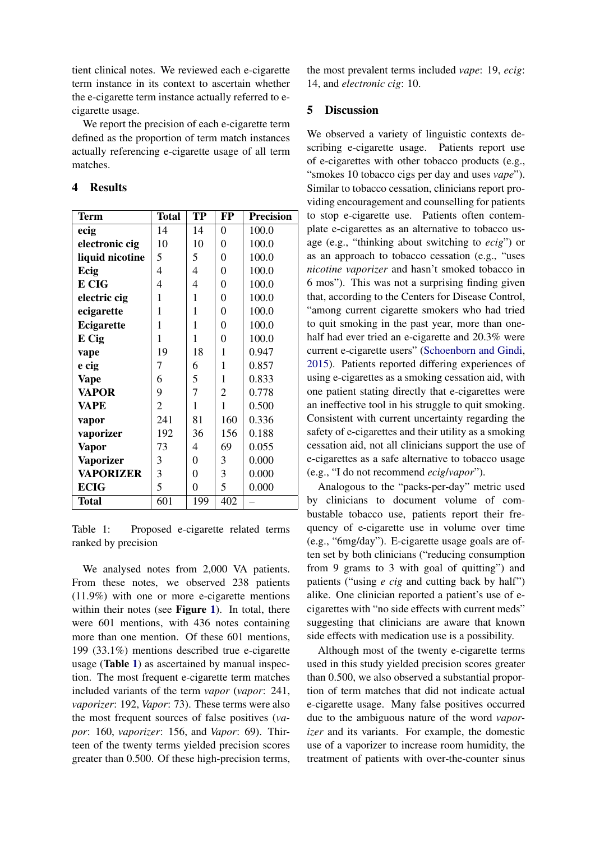tient clinical notes. We reviewed each e-cigarette term instance in its context to ascertain whether the e-cigarette term instance actually referred to ecigarette usage.

We report the precision of each e-cigarette term defined as the proportion of term match instances actually referencing e-cigarette usage of all term matches.

#### 4 Results

| <b>Term</b>      | <b>Total</b>   | TP               | FP               | <b>Precision</b> |
|------------------|----------------|------------------|------------------|------------------|
| ecig             | 14             | 14               | $\overline{0}$   | 100.0            |
| electronic cig   | 10             | 10               | $\boldsymbol{0}$ | 100.0            |
| liquid nicotine  | 5              | 5                | $\overline{0}$   | 100.0            |
| Ecig             | 4              | 4                | $\overline{0}$   | 100.0            |
| E CIG            | 4              | 4                | $\overline{0}$   | 100.0            |
| electric cig     | 1              | 1                | 0                | 100.0            |
| ecigarette       | 1              | 1                | 0                | 100.0            |
| Ecigarette       | 1              | 1                | $\overline{0}$   | 100.0            |
| E Cig            | 1              | 1                | $\overline{0}$   | 100.0            |
| vape             | 19             | 18               | 1                | 0.947            |
| e cig            | 7              | 6                | 1                | 0.857            |
| <b>Vape</b>      | 6              | 5                | $\mathbf{1}$     | 0.833            |
| <b>VAPOR</b>     | 9              | $\overline{7}$   | $\overline{c}$   | 0.778            |
| <b>VAPE</b>      | $\overline{2}$ | 1                | $\mathbf{1}$     | 0.500            |
| vapor            | 241            | 81               | 160              | 0.336            |
| vaporizer        | 192            | 36               | 156              | 0.188            |
| <b>Vapor</b>     | 73             | 4                | 69               | 0.055            |
| <b>Vaporizer</b> | 3              | $\boldsymbol{0}$ | 3                | 0.000            |
| <b>VAPORIZER</b> | 3              | $\boldsymbol{0}$ | 3                | 0.000            |
| <b>ECIG</b>      | 5              | $\boldsymbol{0}$ | 5                | 0.000            |
| <b>Total</b>     | 601            | 199              | 402              |                  |

<span id="page-2-0"></span>Table 1: Proposed e-cigarette related terms ranked by precision

We analysed notes from 2,000 VA patients. From these notes, we observed 238 patients (11.9%) with one or more e-cigarette mentions within their notes (see Figure [1](#page-3-3)). In total, there were 601 mentions, with 436 notes containing more than one mention. Of these 601 mentions, 199 (33.1%) mentions described true e-cigarette usage (Table [1](#page-2-0)) as ascertained by manual inspection. The most frequent e-cigarette term matches included variants of the term *vapor* (*vapor*: 241, *vaporizer*: 192, *Vapor*: 73). These terms were also the most frequent sources of false positives (*vapor*: 160, *vaporizer*: 156, and *Vapor*: 69). Thirteen of the twenty terms yielded precision scores greater than 0.500. Of these high-precision terms, the most prevalent terms included *vape*: 19, *ecig*: 14, and *electronic cig*: 10.

### 5 Discussion

We observed a variety of linguistic contexts describing e-cigarette usage. Patients report use of e-cigarettes with other tobacco products (e.g., "smokes 10 tobacco cigs per day and uses *vape*"). Similar to tobacco cessation, clinicians report providing encouragement and counselling for patients to stop e-cigarette use. Patients often contemplate e-cigarettes as an alternative to tobacco usage (e.g., "thinking about switching to *ecig*") or as an approach to tobacco cessation (e.g., "uses *nicotine vaporizer* and hasn't smoked tobacco in 6 mos"). This was not a surprising finding given that, according to the Centers for Disease Control, "among current cigarette smokers who had tried to quit smoking in the past year, more than onehalf had ever tried an e-cigarette and 20.3% were current e-cigarette users" [\(Schoenborn and Gindi,](#page-4-2) [2015\)](#page-4-2). Patients reported differing experiences of using e-cigarettes as a smoking cessation aid, with one patient stating directly that e-cigarettes were an ineffective tool in his struggle to quit smoking. Consistent with current uncertainty regarding the safety of e-cigarettes and their utility as a smoking cessation aid, not all clinicians support the use of e-cigarettes as a safe alternative to tobacco usage (e.g., "I do not recommend *ecig*/*vapor*").

Analogous to the "packs-per-day" metric used by clinicians to document volume of combustable tobacco use, patients report their frequency of e-cigarette use in volume over time (e.g., "6mg/day"). E-cigarette usage goals are often set by both clinicians ("reducing consumption from 9 grams to 3 with goal of quitting") and patients ("using *e cig* and cutting back by half") alike. One clinician reported a patient's use of ecigarettes with "no side effects with current meds" suggesting that clinicians are aware that known side effects with medication use is a possibility.

Although most of the twenty e-cigarette terms used in this study yielded precision scores greater than 0.500, we also observed a substantial proportion of term matches that did not indicate actual e-cigarette usage. Many false positives occurred due to the ambiguous nature of the word *vaporizer* and its variants. For example, the domestic use of a vaporizer to increase room humidity, the treatment of patients with over-the-counter sinus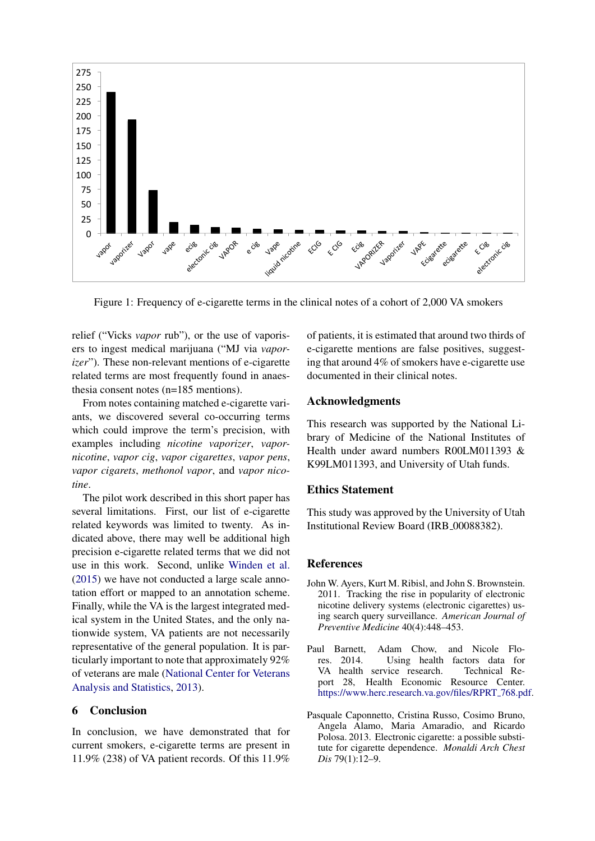

<span id="page-3-3"></span>Figure 1: Frequency of e-cigarette terms in the clinical notes of a cohort of 2,000 VA smokers

relief ("Vicks *vapor* rub"), or the use of vaporisers to ingest medical marijuana ("MJ via *vaporizer*"). These non-relevant mentions of e-cigarette related terms are most frequently found in anaesthesia consent notes (n=185 mentions).

From notes containing matched e-cigarette variants, we discovered several co-occurring terms which could improve the term's precision, with examples including *nicotine vaporizer*, *vapornicotine*, *vapor cig*, *vapor cigarettes*, *vapor pens*, *vapor cigarets*, *methonol vapor*, and *vapor nicotine*.

The pilot work described in this short paper has several limitations. First, our list of e-cigarette related keywords was limited to twenty. As indicated above, there may well be additional high precision e-cigarette related terms that we did not use in this work. Second, unlike [Winden et al.](#page-4-10) [\(2015\)](#page-4-10) we have not conducted a large scale annotation effort or mapped to an annotation scheme. Finally, while the VA is the largest integrated medical system in the United States, and the only nationwide system, VA patients are not necessarily representative of the general population. It is particularly important to note that approximately 92% of veterans are male [\(National Center for Veterans](#page-4-19) [Analysis and Statistics,](#page-4-19) [2013\)](#page-4-19).

#### 6 Conclusion

In conclusion, we have demonstrated that for current smokers, e-cigarette terms are present in 11.9% (238) of VA patient records. Of this 11.9% of patients, it is estimated that around two thirds of e-cigarette mentions are false positives, suggesting that around 4% of smokers have e-cigarette use documented in their clinical notes.

#### Acknowledgments

This research was supported by the National Library of Medicine of the National Institutes of Health under award numbers R00LM011393 & K99LM011393, and University of Utah funds.

#### Ethics Statement

This study was approved by the University of Utah Institutional Review Board (IRB 00088382).

#### References

- <span id="page-3-2"></span>John W. Ayers, Kurt M. Ribisl, and John S. Brownstein. 2011. Tracking the rise in popularity of electronic nicotine delivery systems (electronic cigarettes) using search query surveillance. *American Journal of Preventive Medicine* 40(4):448–453.
- <span id="page-3-1"></span>Paul Barnett, Adam Chow, and Nicole Flores. 2014. Using health factors data for VA health service research. Technical Report 28, Health Economic Resource Center. [https://www.herc.research.va.gov/files/RPRT](https://www.herc.research.va.gov/files/RPRT_768.pdf) 768.pdf.
- <span id="page-3-0"></span>Pasquale Caponnetto, Cristina Russo, Cosimo Bruno, Angela Alamo, Maria Amaradio, and Ricardo Polosa. 2013. Electronic cigarette: a possible substitute for cigarette dependence. *Monaldi Arch Chest Dis* 79(1):12–9.